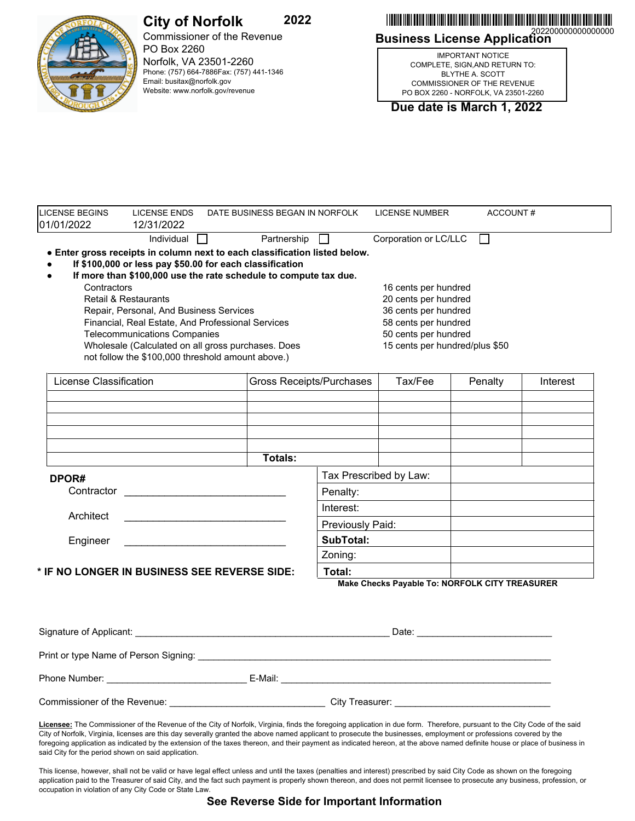

## **2022 City of Norfolk**

Commissioner of the Revenue PO Box 2260 Norfolk, VA 23501-2260 Phone: (757) 664-7886Fax: (757) 441-1346 Email: busitax@norfolk.gov Website: www.norfolk.gov/revenue

**Business License Application** 202200000000000000 \*202200000000000000\*

IMPORTANT NOTICE COMPLETE, SIGN,AND RETURN TO: BLYTHE A. SCOTT COMMISSIONER OF THE REVENUE PO BOX 2260 - NORFOLK, VA 23501-2260

**Due date is March 1, 2022**

| Partnership $\Box$<br>Corporation or LC/LLC<br>Individual $\Box$<br>$\Box$<br>. Enter gross receipts in column next to each classification listed below.<br>If \$100,000 or less pay \$50.00 for each classification<br>If more than \$100,000 use the rate schedule to compute tax due.<br>Contractors<br>16 cents per hundred<br><b>Retail &amp; Restaurants</b><br>20 cents per hundred<br>36 cents per hundred<br>Repair, Personal, And Business Services<br>58 cents per hundred<br>Financial, Real Estate, And Professional Services<br><b>Telecommunications Companies</b><br>50 cents per hundred<br>Wholesale (Calculated on all gross purchases. Does<br>15 cents per hundred/plus \$50<br>not follow the \$100,000 threshold amount above.)<br>License Classification<br>Gross Receipts/Purchases<br>Tax/Fee<br>Penalty<br>Totals:<br>Tax Prescribed by Law:<br>DPOR#<br>Contractor<br>Penalty:<br>Interest:<br>Architect<br>Previously Paid:<br>SubTotal:<br>Engineer<br><u> 1989 - Johann Barbara, martin amerikan basal dan berasal dalam basal dalam basal dalam basal dalam basal dala</u><br>Zoning:<br>Total:<br>Make Checks Payable To: NORFOLK CITY TREASURER | <b>LICENSE BEGINS</b><br>01/01/2022          | <b>LICENSE ENDS</b><br>12/31/2022 | DATE BUSINESS BEGAN IN NORFOLK |  | <b>LICENSE NUMBER</b> | ACCOUNT# |          |
|-----------------------------------------------------------------------------------------------------------------------------------------------------------------------------------------------------------------------------------------------------------------------------------------------------------------------------------------------------------------------------------------------------------------------------------------------------------------------------------------------------------------------------------------------------------------------------------------------------------------------------------------------------------------------------------------------------------------------------------------------------------------------------------------------------------------------------------------------------------------------------------------------------------------------------------------------------------------------------------------------------------------------------------------------------------------------------------------------------------------------------------------------------------------------------------|----------------------------------------------|-----------------------------------|--------------------------------|--|-----------------------|----------|----------|
|                                                                                                                                                                                                                                                                                                                                                                                                                                                                                                                                                                                                                                                                                                                                                                                                                                                                                                                                                                                                                                                                                                                                                                                   |                                              |                                   |                                |  |                       |          |          |
|                                                                                                                                                                                                                                                                                                                                                                                                                                                                                                                                                                                                                                                                                                                                                                                                                                                                                                                                                                                                                                                                                                                                                                                   |                                              |                                   |                                |  |                       |          |          |
|                                                                                                                                                                                                                                                                                                                                                                                                                                                                                                                                                                                                                                                                                                                                                                                                                                                                                                                                                                                                                                                                                                                                                                                   |                                              |                                   |                                |  |                       |          |          |
|                                                                                                                                                                                                                                                                                                                                                                                                                                                                                                                                                                                                                                                                                                                                                                                                                                                                                                                                                                                                                                                                                                                                                                                   |                                              |                                   |                                |  |                       |          |          |
|                                                                                                                                                                                                                                                                                                                                                                                                                                                                                                                                                                                                                                                                                                                                                                                                                                                                                                                                                                                                                                                                                                                                                                                   |                                              |                                   |                                |  |                       |          |          |
|                                                                                                                                                                                                                                                                                                                                                                                                                                                                                                                                                                                                                                                                                                                                                                                                                                                                                                                                                                                                                                                                                                                                                                                   |                                              |                                   |                                |  |                       |          |          |
|                                                                                                                                                                                                                                                                                                                                                                                                                                                                                                                                                                                                                                                                                                                                                                                                                                                                                                                                                                                                                                                                                                                                                                                   |                                              |                                   |                                |  |                       |          |          |
|                                                                                                                                                                                                                                                                                                                                                                                                                                                                                                                                                                                                                                                                                                                                                                                                                                                                                                                                                                                                                                                                                                                                                                                   |                                              |                                   |                                |  |                       |          |          |
|                                                                                                                                                                                                                                                                                                                                                                                                                                                                                                                                                                                                                                                                                                                                                                                                                                                                                                                                                                                                                                                                                                                                                                                   |                                              |                                   |                                |  |                       |          |          |
|                                                                                                                                                                                                                                                                                                                                                                                                                                                                                                                                                                                                                                                                                                                                                                                                                                                                                                                                                                                                                                                                                                                                                                                   |                                              |                                   |                                |  |                       |          | Interest |
|                                                                                                                                                                                                                                                                                                                                                                                                                                                                                                                                                                                                                                                                                                                                                                                                                                                                                                                                                                                                                                                                                                                                                                                   |                                              |                                   |                                |  |                       |          |          |
|                                                                                                                                                                                                                                                                                                                                                                                                                                                                                                                                                                                                                                                                                                                                                                                                                                                                                                                                                                                                                                                                                                                                                                                   |                                              |                                   |                                |  |                       |          |          |
|                                                                                                                                                                                                                                                                                                                                                                                                                                                                                                                                                                                                                                                                                                                                                                                                                                                                                                                                                                                                                                                                                                                                                                                   |                                              |                                   |                                |  |                       |          |          |
|                                                                                                                                                                                                                                                                                                                                                                                                                                                                                                                                                                                                                                                                                                                                                                                                                                                                                                                                                                                                                                                                                                                                                                                   |                                              |                                   |                                |  |                       |          |          |
|                                                                                                                                                                                                                                                                                                                                                                                                                                                                                                                                                                                                                                                                                                                                                                                                                                                                                                                                                                                                                                                                                                                                                                                   |                                              |                                   |                                |  |                       |          |          |
|                                                                                                                                                                                                                                                                                                                                                                                                                                                                                                                                                                                                                                                                                                                                                                                                                                                                                                                                                                                                                                                                                                                                                                                   |                                              |                                   |                                |  |                       |          |          |
|                                                                                                                                                                                                                                                                                                                                                                                                                                                                                                                                                                                                                                                                                                                                                                                                                                                                                                                                                                                                                                                                                                                                                                                   |                                              |                                   |                                |  |                       |          |          |
|                                                                                                                                                                                                                                                                                                                                                                                                                                                                                                                                                                                                                                                                                                                                                                                                                                                                                                                                                                                                                                                                                                                                                                                   |                                              |                                   |                                |  |                       |          |          |
|                                                                                                                                                                                                                                                                                                                                                                                                                                                                                                                                                                                                                                                                                                                                                                                                                                                                                                                                                                                                                                                                                                                                                                                   |                                              |                                   |                                |  |                       |          |          |
|                                                                                                                                                                                                                                                                                                                                                                                                                                                                                                                                                                                                                                                                                                                                                                                                                                                                                                                                                                                                                                                                                                                                                                                   |                                              |                                   |                                |  |                       |          |          |
|                                                                                                                                                                                                                                                                                                                                                                                                                                                                                                                                                                                                                                                                                                                                                                                                                                                                                                                                                                                                                                                                                                                                                                                   |                                              |                                   |                                |  |                       |          |          |
|                                                                                                                                                                                                                                                                                                                                                                                                                                                                                                                                                                                                                                                                                                                                                                                                                                                                                                                                                                                                                                                                                                                                                                                   | * IF NO LONGER IN BUSINESS SEE REVERSE SIDE: |                                   |                                |  |                       |          |          |
|                                                                                                                                                                                                                                                                                                                                                                                                                                                                                                                                                                                                                                                                                                                                                                                                                                                                                                                                                                                                                                                                                                                                                                                   |                                              |                                   |                                |  |                       |          |          |
|                                                                                                                                                                                                                                                                                                                                                                                                                                                                                                                                                                                                                                                                                                                                                                                                                                                                                                                                                                                                                                                                                                                                                                                   |                                              |                                   |                                |  |                       |          |          |
|                                                                                                                                                                                                                                                                                                                                                                                                                                                                                                                                                                                                                                                                                                                                                                                                                                                                                                                                                                                                                                                                                                                                                                                   |                                              |                                   |                                |  |                       |          |          |
|                                                                                                                                                                                                                                                                                                                                                                                                                                                                                                                                                                                                                                                                                                                                                                                                                                                                                                                                                                                                                                                                                                                                                                                   |                                              |                                   |                                |  |                       |          |          |
| Print or type Name of Person Signing:                                                                                                                                                                                                                                                                                                                                                                                                                                                                                                                                                                                                                                                                                                                                                                                                                                                                                                                                                                                                                                                                                                                                             |                                              |                                   |                                |  |                       |          |          |

Phone Number: \_\_\_\_\_\_\_\_\_\_\_\_\_\_\_\_\_\_\_\_\_\_\_\_\_\_\_ E-Mail: \_\_\_\_\_\_\_\_\_\_\_\_\_\_\_\_\_\_\_\_\_\_\_\_\_\_\_\_\_\_\_\_\_\_\_\_\_\_\_\_\_\_\_\_\_\_\_\_\_\_\_\_ Commissioner of the Revenue: \_\_\_\_\_\_\_\_\_\_\_\_\_\_\_\_\_\_\_\_\_\_\_\_\_\_\_\_\_\_ City Treasurer: \_\_\_\_\_\_\_\_\_\_\_\_\_\_\_\_\_\_\_\_\_\_\_\_\_\_\_\_\_\_

**Licensee:** The Commissioner of the Revenue of the City of Norfolk, Virginia, finds the foregoing application in due form. Therefore, pursuant to the City Code of the said City of Norfolk, Virginia, licenses are this day severally granted the above named applicant to prosecute the businesses, employment or professions covered by the foregoing application as indicated by the extension of the taxes thereon, and their payment as indicated hereon, at the above named definite house or place of business in said City for the period shown on said application.

This license, however, shall not be valid or have legal effect unless and until the taxes (penalties and interest) prescribed by said City Code as shown on the foregoing application paid to the Treasurer of said City, and the fact such payment is properly shown thereon, and does not permit licensee to prosecute any business, profession, or occupation in violation of any City Code or State Law.